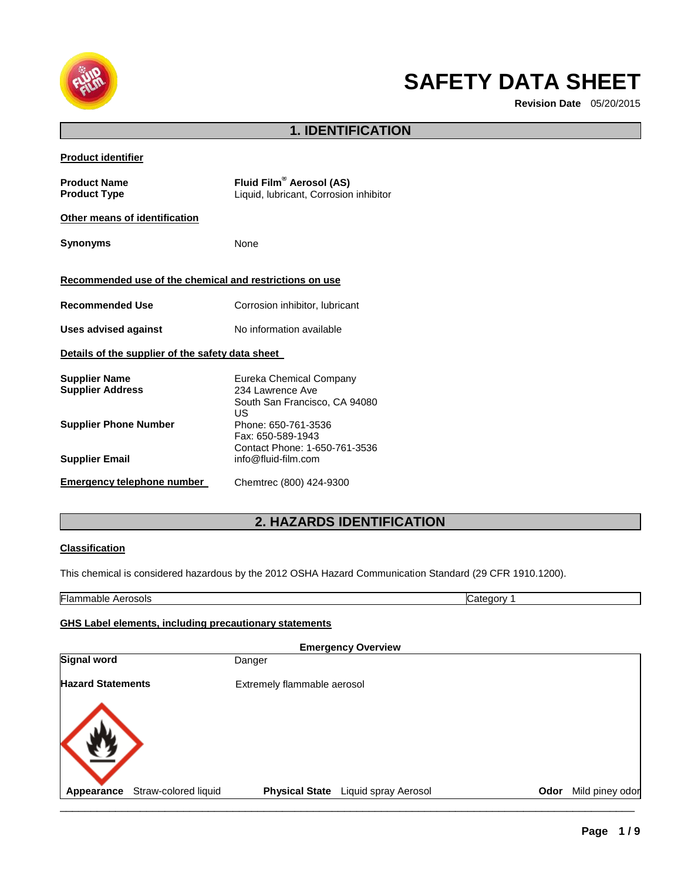

# **SAFETY DATA SHEET**

**Revision Date** 05/20/2015

# **1. IDENTIFICATION**

| <b>Product Name</b><br><b>Product Type</b>              | Fluid Film® Aerosol (AS)<br>Liquid, lubricant, Corrosion inhibitor                 |
|---------------------------------------------------------|------------------------------------------------------------------------------------|
| Other means of identification                           |                                                                                    |
| <b>Synonyms</b>                                         | None                                                                               |
| Recommended use of the chemical and restrictions on use |                                                                                    |
| <b>Recommended Use</b>                                  | Corrosion inhibitor, lubricant                                                     |
| <b>Uses advised against</b>                             | No information available                                                           |
| Details of the supplier of the safety data sheet        |                                                                                    |
| <b>Supplier Name</b><br><b>Supplier Address</b>         | Eureka Chemical Company<br>234 Lawrence Ave<br>South San Francisco, CA 94080<br>US |
| <b>Supplier Phone Number</b>                            | Phone: 650-761-3536<br>Fax: 650-589-1943<br>Contact Phone: 1-650-761-3536          |
| <b>Supplier Email</b>                                   | info@fluid-film.com                                                                |
| Emergency telephone number                              | Chemtrec (800) 424-9300                                                            |

# **2. HAZARDS IDENTIFICATION**

#### **Classification**

This chemical is considered hazardous by the 2012 OSHA Hazard Communication Standard (29 CFR 1910.1200).

|                          |                      | <b>GHS Label elements, including precautionary statements</b> |                           |      |                 |
|--------------------------|----------------------|---------------------------------------------------------------|---------------------------|------|-----------------|
|                          |                      |                                                               | <b>Emergency Overview</b> |      |                 |
| <b>Signal word</b>       |                      | Danger                                                        |                           |      |                 |
| <b>Hazard Statements</b> |                      | Extremely flammable aerosol                                   |                           |      |                 |
|                          |                      |                                                               |                           |      |                 |
|                          |                      |                                                               |                           |      |                 |
|                          |                      |                                                               |                           |      |                 |
| Appearance               | Straw-colored liquid | <b>Physical State</b>                                         | Liquid spray Aerosol      | Odor | Mild piney odor |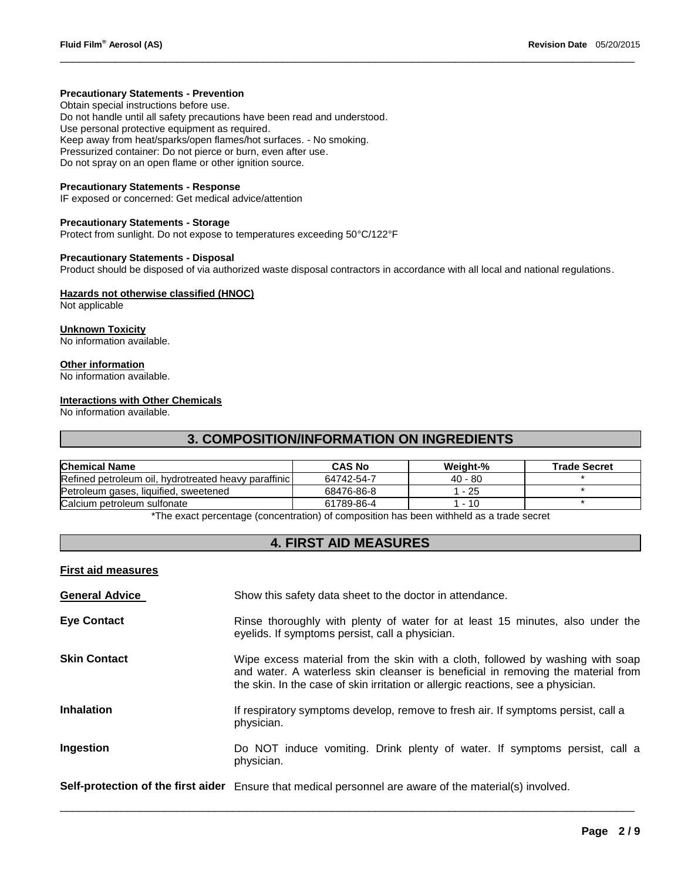#### **Precautionary Statements - Prevention**

Obtain special instructions before use. Do not handle until all safety precautions have been read and understood. Use personal protective equipment as required. Keep away from heat/sparks/open flames/hot surfaces. - No smoking. Pressurized container: Do not pierce or burn, even after use. Do not spray on an open flame or other ignition source.

#### **Precautionary Statements - Response**

IF exposed or concerned: Get medical advice/attention

#### **Precautionary Statements - Storage**

Protect from sunlight. Do not expose to temperatures exceeding 50°C/122°F

#### **Precautionary Statements - Disposal**

Product should be disposed of via authorized waste disposal contractors in accordance with all local and national regulations.

\_\_\_\_\_\_\_\_\_\_\_\_\_\_\_\_\_\_\_\_\_\_\_\_\_\_\_\_\_\_\_\_\_\_\_\_\_\_\_\_\_\_\_\_\_\_\_\_\_\_\_\_\_\_\_\_\_\_\_\_\_\_\_\_\_\_\_\_\_\_\_\_\_\_\_\_\_\_\_\_\_\_\_\_\_\_\_\_\_\_\_\_\_

#### **Hazards not otherwise classified (HNOC)**

Not applicable

**Unknown Toxicity** No information available.

#### **Other information**

No information available.

#### **Interactions with Other Chemicals**

No information available.

### **3. COMPOSITION/INFORMATION ON INGREDIENTS**

| <b>Chemical Name</b>                                 | <b>CAS No</b> | Weight-%  | <b>Trade Secret</b> |
|------------------------------------------------------|---------------|-----------|---------------------|
| Refined petroleum oil, hydrotreated heavy paraffinic | 64742-54-7    | $40 - 80$ |                     |
| Petroleum gases, liquified, sweetened                | 68476-86-8    | 25 - ا    |                     |
| Calcium petroleum sulfonate                          | 61789-86-4    | 1 - 10    |                     |

The exact percentage (concentration) of composition has been withheld as a trade secret

# **4. FIRST AID MEASURES**

#### **First aid measures**

| <b>General Advice</b> | Show this safety data sheet to the doctor in attendance.                                                                                                                                                                                               |
|-----------------------|--------------------------------------------------------------------------------------------------------------------------------------------------------------------------------------------------------------------------------------------------------|
| <b>Eye Contact</b>    | Rinse thoroughly with plenty of water for at least 15 minutes, also under the<br>eyelids. If symptoms persist, call a physician.                                                                                                                       |
| <b>Skin Contact</b>   | Wipe excess material from the skin with a cloth, followed by washing with soap<br>and water. A waterless skin cleanser is beneficial in removing the material from<br>the skin. In the case of skin irritation or allergic reactions, see a physician. |
| <b>Inhalation</b>     | If respiratory symptoms develop, remove to fresh air. If symptoms persist, call a<br>physician.                                                                                                                                                        |
| Ingestion             | Do NOT induce vomiting. Drink plenty of water. If symptoms persist, call a<br>physician.                                                                                                                                                               |
|                       | Self-protection of the first aider Ensure that medical personnel are aware of the material(s) involved.                                                                                                                                                |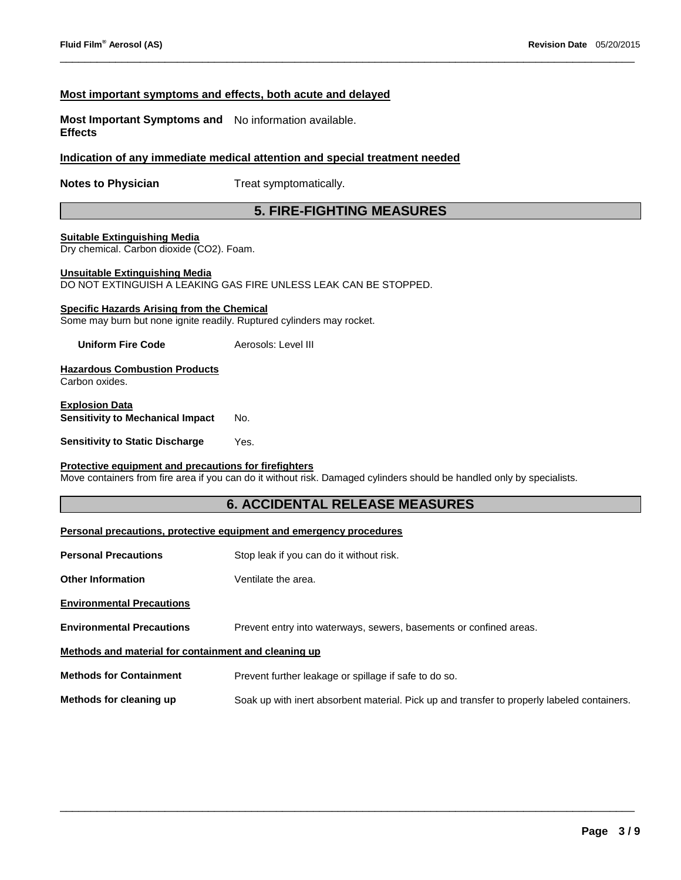#### **Most important symptoms and effects, both acute and delayed**

**Most Important Symptoms and**  No information available. **Effects** 

#### **Indication of any immediate medical attention and special treatment needed**

**Notes to Physician**  Treat symptomatically.

# **5. FIRE-FIGHTING MEASURES**

\_\_\_\_\_\_\_\_\_\_\_\_\_\_\_\_\_\_\_\_\_\_\_\_\_\_\_\_\_\_\_\_\_\_\_\_\_\_\_\_\_\_\_\_\_\_\_\_\_\_\_\_\_\_\_\_\_\_\_\_\_\_\_\_\_\_\_\_\_\_\_\_\_\_\_\_\_\_\_\_\_\_\_\_\_\_\_\_\_\_\_\_\_

#### **Suitable Extinguishing Media**

Dry chemical. Carbon dioxide (CO2). Foam.

#### **Unsuitable Extinguishing Media**

DO NOT EXTINGUISH A LEAKING GAS FIRE UNLESS LEAK CAN BE STOPPED.

#### **Specific Hazards Arising from the Chemical**

Some may burn but none ignite readily. Ruptured cylinders may rocket.

**Uniform Fire Code Aerosols: Level III** 

#### **Hazardous Combustion Products** Carbon oxides.

#### **Explosion Data Sensitivity to Mechanical Impact** No.

#### **Sensitivity to Static Discharge Wes.**

#### **Protective equipment and precautions for firefighters**

Move containers from fire area if you can do it without risk. Damaged cylinders should be handled only by specialists.

### **6. ACCIDENTAL RELEASE MEASURES**

### **Personal precautions, protective equipment and emergency procedures**

- **Personal Precautions Stop leak if you can do it without risk.**
- **Other Information Ventilate the area.**
- **Environmental Precautions**
- **Environmental Precautions** Prevent entry into waterways, sewers, basements or confined areas.

#### **Methods and material for containment and cleaning up**

**Methods for Containment** Prevent further leakage or spillage if safe to do so.

**Methods for cleaning up** Soak up with inert absorbent material. Pick up and transfer to properly labeled containers.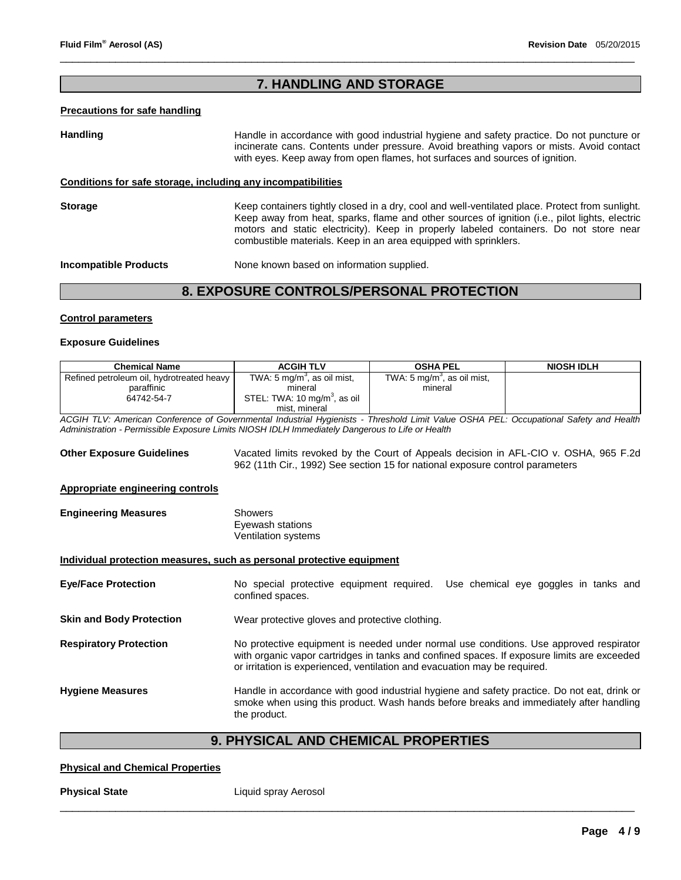# **7. HANDLING AND STORAGE**

\_\_\_\_\_\_\_\_\_\_\_\_\_\_\_\_\_\_\_\_\_\_\_\_\_\_\_\_\_\_\_\_\_\_\_\_\_\_\_\_\_\_\_\_\_\_\_\_\_\_\_\_\_\_\_\_\_\_\_\_\_\_\_\_\_\_\_\_\_\_\_\_\_\_\_\_\_\_\_\_\_\_\_\_\_\_\_\_\_\_\_\_\_

#### **Precautions for safe handling**

# Handling **Handle in accordance with good industrial hygiene and safety practice. Do not puncture or** incinerate cans. Contents under pressure. Avoid breathing vapors or mists. Avoid contact with eyes. Keep away from open flames, hot surfaces and sources of ignition. **Conditions for safe storage, including any incompatibilities Storage** Keep containers tightly closed in a dry, cool and well-ventilated place. Protect from sunlight. Keep away from heat, sparks, flame and other sources of ignition (i.e., pilot lights, electric motors and static electricity). Keep in properly labeled containers. Do not store near combustible materials. Keep in an area equipped with sprinklers. **Incompatible Products None known based on information supplied.**

# **8. EXPOSURE CONTROLS/PERSONAL PROTECTION**

#### **Control parameters**

#### **Exposure Guidelines**

| <b>Chemical Name</b>                                                                                                                                     | <b>ACGIH TLV</b>                                                              | <b>OSHA PEL</b>                         | <b>NIOSH IDLH</b>                                                                                                                                                                     |
|----------------------------------------------------------------------------------------------------------------------------------------------------------|-------------------------------------------------------------------------------|-----------------------------------------|---------------------------------------------------------------------------------------------------------------------------------------------------------------------------------------|
| Refined petroleum oil, hydrotreated heavy                                                                                                                | TWA: 5 mg/m <sup>3</sup> , as oil mist,                                       | TWA: 5 mg/m <sup>3</sup> , as oil mist, |                                                                                                                                                                                       |
| paraffinic                                                                                                                                               | mineral                                                                       | mineral                                 |                                                                                                                                                                                       |
| 64742-54-7                                                                                                                                               | STEL: TWA: 10 mg/m <sup>3</sup> , as oil                                      |                                         |                                                                                                                                                                                       |
|                                                                                                                                                          | mist, mineral                                                                 |                                         |                                                                                                                                                                                       |
| ACGIH TLV: American Conference of Governmental Industrial Hygienists - Threshold Limit Value OSHA PEL: Occupational Safety and Health                    |                                                                               |                                         |                                                                                                                                                                                       |
| Administration - Permissible Exposure Limits NIOSH IDLH Immediately Dangerous to Life or Health                                                          |                                                                               |                                         |                                                                                                                                                                                       |
| <b>Other Exposure Guidelines</b>                                                                                                                         | 962 (11th Cir., 1992) See section 15 for national exposure control parameters |                                         | Vacated limits revoked by the Court of Appeals decision in AFL-CIO v. OSHA, 965 F.2d                                                                                                  |
| Appropriate engineering controls                                                                                                                         |                                                                               |                                         |                                                                                                                                                                                       |
| <b>Engineering Measures</b>                                                                                                                              | Showers<br>Eyewash stations<br>Ventilation systems                            |                                         |                                                                                                                                                                                       |
| Individual protection measures, such as personal protective equipment<br>No special protective equipment required. Use chemical eye goggles in tanks and |                                                                               |                                         |                                                                                                                                                                                       |
| <b>Eye/Face Protection</b>                                                                                                                               | confined spaces.                                                              |                                         |                                                                                                                                                                                       |
| <b>Skin and Body Protection</b>                                                                                                                          | Wear protective gloves and protective clothing.                               |                                         |                                                                                                                                                                                       |
| <b>Respiratory Protection</b>                                                                                                                            | or irritation is experienced, ventilation and evacuation may be required.     |                                         | No protective equipment is needed under normal use conditions. Use approved respirator<br>with organic vapor cartridges in tanks and confined spaces. If exposure limits are exceeded |
| <b>Hygiene Measures</b>                                                                                                                                  | the product.                                                                  |                                         | Handle in accordance with good industrial hygiene and safety practice. Do not eat, drink or<br>smoke when using this product. Wash hands before breaks and immediately after handling |

# **9. PHYSICAL AND CHEMICAL PROPERTIES**

\_\_\_\_\_\_\_\_\_\_\_\_\_\_\_\_\_\_\_\_\_\_\_\_\_\_\_\_\_\_\_\_\_\_\_\_\_\_\_\_\_\_\_\_\_\_\_\_\_\_\_\_\_\_\_\_\_\_\_\_\_\_\_\_\_\_\_\_\_\_\_\_\_\_\_\_\_\_\_\_\_\_\_\_\_\_\_\_\_\_\_\_\_

#### **Physical and Chemical Properties**

**Physical State Liquid spray Aerosol**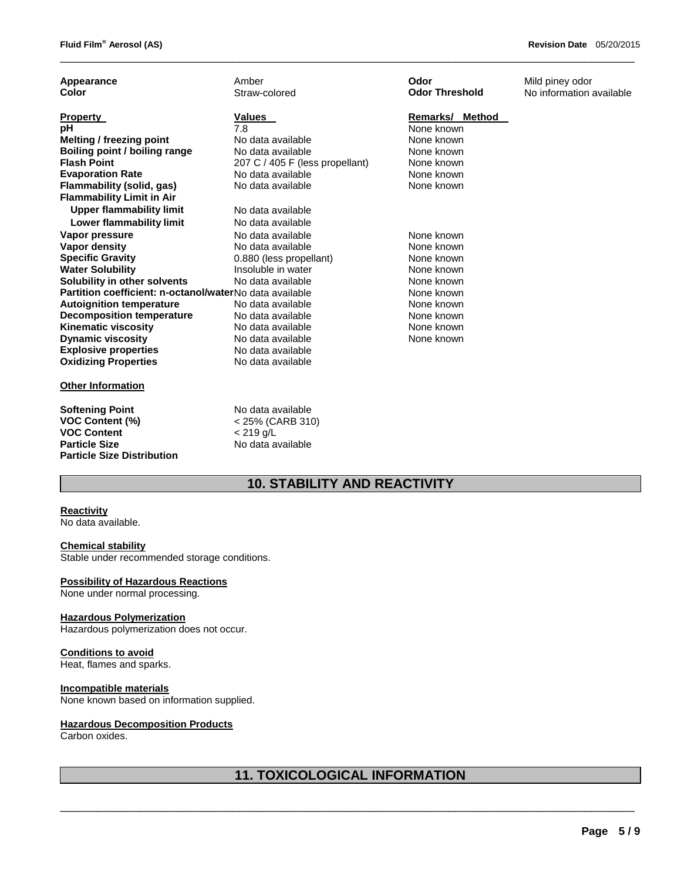| Appearance                                              | Amber                           | Odor                  | Mild piney odor          |
|---------------------------------------------------------|---------------------------------|-----------------------|--------------------------|
| Color                                                   | Straw-colored                   | <b>Odor Threshold</b> | No information available |
| <b>Property</b>                                         | Values                          | Remarks/ Method       |                          |
| рH                                                      | 7.8                             | None known            |                          |
| <b>Melting / freezing point</b>                         | No data available               | None known            |                          |
| Boiling point / boiling range                           | No data available               | None known            |                          |
| <b>Flash Point</b>                                      | 207 C / 405 F (less propellant) | None known            |                          |
| <b>Evaporation Rate</b>                                 | No data available               | None known            |                          |
| Flammability (solid, gas)                               | No data available               | None known            |                          |
| <b>Flammability Limit in Air</b>                        |                                 |                       |                          |
| <b>Upper flammability limit</b>                         | No data available               |                       |                          |
| Lower flammability limit                                | No data available               |                       |                          |
| Vapor pressure                                          | No data available               | None known            |                          |
| Vapor density                                           | No data available               | None known            |                          |
| <b>Specific Gravity</b>                                 | 0.880 (less propellant)         | None known            |                          |
| <b>Water Solubility</b>                                 | Insoluble in water              | None known            |                          |
| Solubility in other solvents                            | No data available               | None known            |                          |
| Partition coefficient: n-octanol/waterNo data available |                                 | None known            |                          |
| <b>Autoignition temperature</b>                         | No data available               | None known            |                          |
| <b>Decomposition temperature</b>                        | No data available               | None known            |                          |
| <b>Kinematic viscosity</b>                              | No data available               | None known            |                          |
| <b>Dynamic viscosity</b>                                | No data available               | None known            |                          |
| <b>Explosive properties</b>                             | No data available               |                       |                          |
| <b>Oxidizing Properties</b>                             | No data available               |                       |                          |
| <b>Other Information</b>                                |                                 |                       |                          |
| <b>Softening Point</b>                                  | No data available               |                       |                          |
| <b>VOC Content (%)</b>                                  | < 25% (CARB 310)                |                       |                          |

No data available

\_\_\_\_\_\_\_\_\_\_\_\_\_\_\_\_\_\_\_\_\_\_\_\_\_\_\_\_\_\_\_\_\_\_\_\_\_\_\_\_\_\_\_\_\_\_\_\_\_\_\_\_\_\_\_\_\_\_\_\_\_\_\_\_\_\_\_\_\_\_\_\_\_\_\_\_\_\_\_\_\_\_\_\_\_\_\_\_\_\_\_\_\_

# **10. STABILITY AND REACTIVITY**

#### **Reactivity**

No data available.

#### **Chemical stability**

**Particle Size Distribution** 

Stable under recommended storage conditions.

**VOC Content**<br> **Particle Size**<br> **Particle Size**<br> **No data a** 

#### **Possibility of Hazardous Reactions**

None under normal processing.

#### **Hazardous Polymerization**

Hazardous polymerization does not occur.

#### **Conditions to avoid**

Heat, flames and sparks.

#### **Incompatible materials**

None known based on information supplied.

### **Hazardous Decomposition Products**

Carbon oxides.

# **11. TOXICOLOGICAL INFORMATION**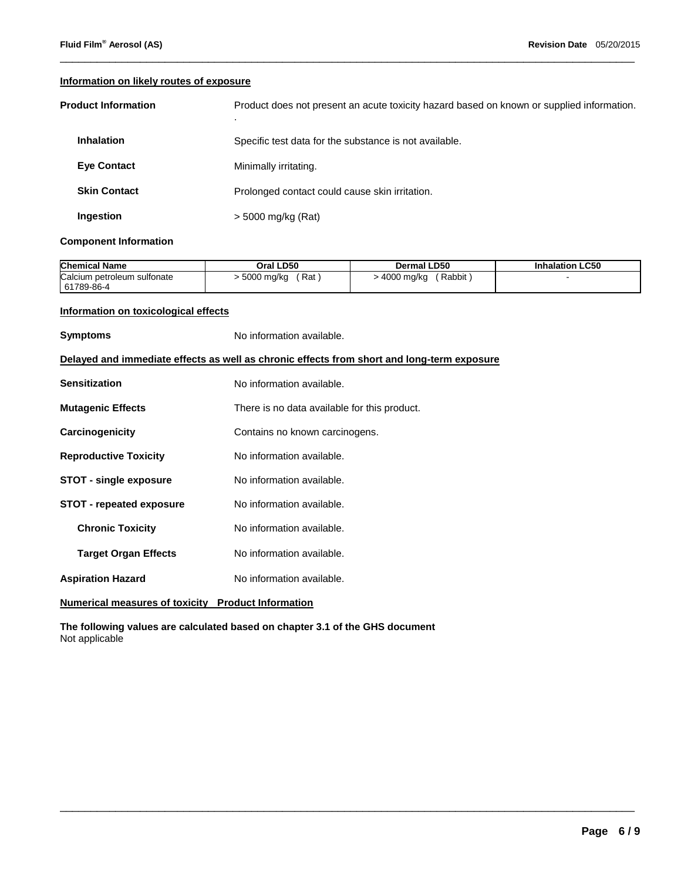#### **Information on likely routes of exposure**

| <b>Product Information</b> | Product does not present an acute toxicity hazard based on known or supplied information.<br>$\cdot$ |
|----------------------------|------------------------------------------------------------------------------------------------------|
| <b>Inhalation</b>          | Specific test data for the substance is not available.                                               |
| <b>Eye Contact</b>         | Minimally irritating.                                                                                |
| <b>Skin Contact</b>        | Prolonged contact could cause skin irritation.                                                       |
| Ingestion                  | > 5000 mg/kg (Rat)                                                                                   |

\_\_\_\_\_\_\_\_\_\_\_\_\_\_\_\_\_\_\_\_\_\_\_\_\_\_\_\_\_\_\_\_\_\_\_\_\_\_\_\_\_\_\_\_\_\_\_\_\_\_\_\_\_\_\_\_\_\_\_\_\_\_\_\_\_\_\_\_\_\_\_\_\_\_\_\_\_\_\_\_\_\_\_\_\_\_\_\_\_\_\_\_\_

#### **Component Information**

| <b>Chemical Name</b>        | Oral LD50           | <b>Dermal LD50</b>     | <b>Inhalation LC50</b> |
|-----------------------------|---------------------|------------------------|------------------------|
| Calcium petroleum sulfonate | - 5000 mg/kg<br>Rat | Rabbit<br>∙ 4000 mg/kg |                        |
| 61789-86-4                  |                     |                        |                        |

\_\_\_\_\_\_\_\_\_\_\_\_\_\_\_\_\_\_\_\_\_\_\_\_\_\_\_\_\_\_\_\_\_\_\_\_\_\_\_\_\_\_\_\_\_\_\_\_\_\_\_\_\_\_\_\_\_\_\_\_\_\_\_\_\_\_\_\_\_\_\_\_\_\_\_\_\_\_\_\_\_\_\_\_\_\_\_\_\_\_\_\_\_

#### **Information on toxicological effects**

| <b>Symptoms</b>                                                                            | No information available.                    |  |
|--------------------------------------------------------------------------------------------|----------------------------------------------|--|
| Delayed and immediate effects as well as chronic effects from short and long-term exposure |                                              |  |
| <b>Sensitization</b>                                                                       | No information available.                    |  |
| <b>Mutagenic Effects</b>                                                                   | There is no data available for this product. |  |
| Carcinogenicity                                                                            | Contains no known carcinogens.               |  |
| <b>Reproductive Toxicity</b>                                                               | No information available.                    |  |
| <b>STOT - single exposure</b>                                                              | No information available.                    |  |
| <b>STOT - repeated exposure</b>                                                            | No information available.                    |  |
| <b>Chronic Toxicity</b>                                                                    | No information available.                    |  |
| <b>Target Organ Effects</b>                                                                | No information available.                    |  |
| <b>Aspiration Hazard</b>                                                                   | No information available.                    |  |
|                                                                                            |                                              |  |

**Numerical measures of toxicity Product Information**

**The following values are calculated based on chapter 3.1 of the GHS document** Not applicable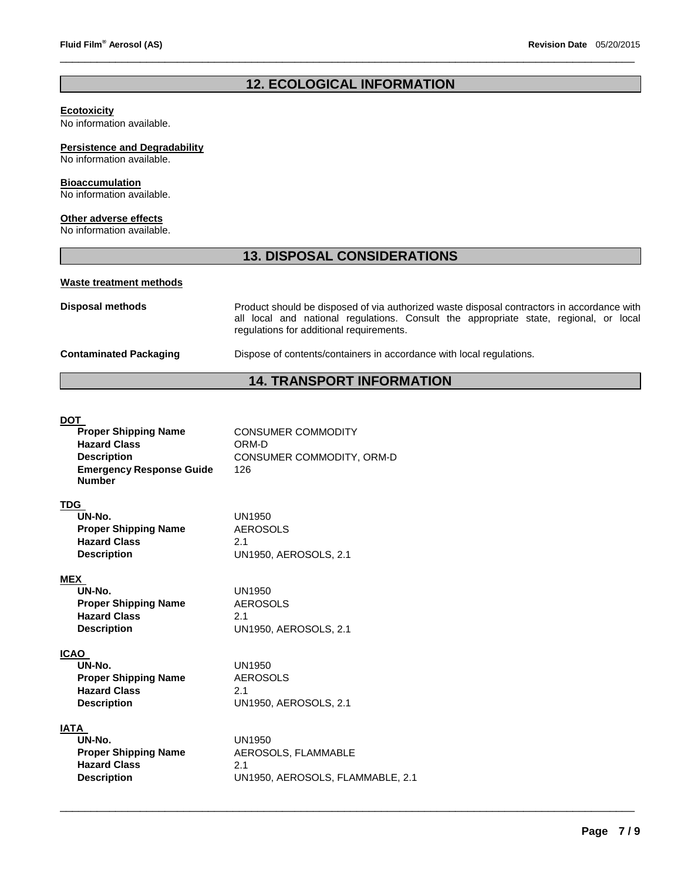# **12. ECOLOGICAL INFORMATION**

\_\_\_\_\_\_\_\_\_\_\_\_\_\_\_\_\_\_\_\_\_\_\_\_\_\_\_\_\_\_\_\_\_\_\_\_\_\_\_\_\_\_\_\_\_\_\_\_\_\_\_\_\_\_\_\_\_\_\_\_\_\_\_\_\_\_\_\_\_\_\_\_\_\_\_\_\_\_\_\_\_\_\_\_\_\_\_\_\_\_\_\_\_

#### **Ecotoxicity**

No information available.

#### **Persistence and Degradability**

No information available.

#### **Bioaccumulation**

No information available.

### **Other adverse effects**

No information available.

### **13. DISPOSAL CONSIDERATIONS**

#### **Waste treatment methods**

**Disposal methods** Product should be disposed of via authorized waste disposal contractors in accordance with all local and national regulations. Consult the appropriate state, regional, or local regulations for additional requirements.

#### **Contaminated Packaging** Dispose of contents/containers in accordance with local regulations.

# **14. TRANSPORT INFORMATION**

#### DOT

| <b>Proper Shipping Name</b>                      | <b>CONSUMER COMMODITY</b>        |
|--------------------------------------------------|----------------------------------|
| <b>Hazard Class</b>                              | ORM-D                            |
| <b>Description</b>                               | CONSUMER COMMODITY, ORM-D        |
| <b>Emergency Response Guide</b><br><b>Number</b> | 126                              |
| TDG                                              |                                  |
| UN-No.                                           | <b>UN1950</b>                    |
| <b>Proper Shipping Name</b>                      | <b>AEROSOLS</b>                  |
| <b>Hazard Class</b>                              | 2.1                              |
| <b>Description</b>                               | <b>UN1950, AEROSOLS, 2.1</b>     |
| <b>MEX</b>                                       |                                  |
| UN-No.                                           | UN1950                           |
| <b>Proper Shipping Name</b>                      | <b>AEROSOLS</b>                  |
| <b>Hazard Class</b>                              | 2.1                              |
| <b>Description</b>                               | <b>UN1950, AEROSOLS, 2.1</b>     |
| <b>ICAO</b>                                      |                                  |
| UN-No.                                           | UN1950                           |
| <b>Proper Shipping Name</b>                      | <b>AEROSOLS</b>                  |
| <b>Hazard Class</b>                              | 2.1                              |
| <b>Description</b>                               | <b>UN1950, AEROSOLS, 2.1</b>     |
| <b>IATA</b>                                      |                                  |
| UN-No.                                           | UN1950                           |
| <b>Proper Shipping Name</b>                      | AEROSOLS, FLAMMABLE              |
| <b>Hazard Class</b>                              | 2.1                              |
| <b>Description</b>                               | UN1950, AEROSOLS, FLAMMABLE, 2.1 |
|                                                  |                                  |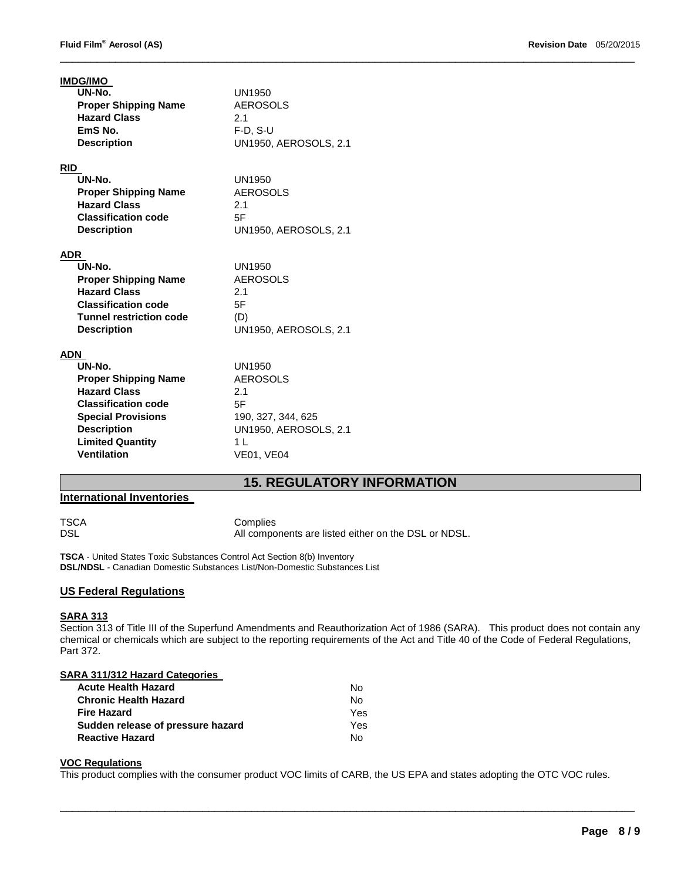| <b>IMDG/IMO</b><br>UN-No.<br><b>Proper Shipping Name</b><br><b>Hazard Class</b><br>EmS No.                                                                                                            | <b>UN1950</b><br><b>AEROSOLS</b><br>2.1<br>$F-D. S-U$                                                                                      |
|-------------------------------------------------------------------------------------------------------------------------------------------------------------------------------------------------------|--------------------------------------------------------------------------------------------------------------------------------------------|
| <b>Description</b>                                                                                                                                                                                    | UN1950, AEROSOLS, 2.1                                                                                                                      |
| <b>RID</b><br>UN-No.<br><b>Proper Shipping Name</b><br><b>Hazard Class</b><br><b>Classification code</b><br><b>Description</b>                                                                        | <b>UN1950</b><br><b>AEROSOLS</b><br>2.1<br>5F<br><b>UN1950, AEROSOLS, 2.1</b>                                                              |
| <b>ADR</b><br>UN-No.<br><b>Proper Shipping Name</b><br><b>Hazard Class</b><br><b>Classification code</b><br><b>Tunnel restriction code</b><br><b>Description</b>                                      | UN1950<br><b>AEROSOLS</b><br>2.1<br>5F<br>(D)<br><b>UN1950, AEROSOLS, 2.1</b>                                                              |
| ADN<br>UN-No.<br><b>Proper Shipping Name</b><br><b>Hazard Class</b><br><b>Classification code</b><br><b>Special Provisions</b><br><b>Description</b><br><b>Limited Quantity</b><br><b>Ventilation</b> | <b>UN1950</b><br><b>AEROSOLS</b><br>2.1<br>5F<br>190, 327, 344, 625<br><b>UN1950, AEROSOLS, 2.1</b><br>1 <sub>L</sub><br><b>VE01, VE04</b> |

\_\_\_\_\_\_\_\_\_\_\_\_\_\_\_\_\_\_\_\_\_\_\_\_\_\_\_\_\_\_\_\_\_\_\_\_\_\_\_\_\_\_\_\_\_\_\_\_\_\_\_\_\_\_\_\_\_\_\_\_\_\_\_\_\_\_\_\_\_\_\_\_\_\_\_\_\_\_\_\_\_\_\_\_\_\_\_\_\_\_\_\_\_

# **15. REGULATORY INFORMATION**

#### **International Inventories**

TSCA Complies DSL DSL All components are listed either on the DSL or NDSL.

**TSCA** - United States Toxic Substances Control Act Section 8(b) Inventory **DSL/NDSL** - Canadian Domestic Substances List/Non-Domestic Substances List

#### **US Federal Regulations**

# **SARA 313**

Section 313 of Title III of the Superfund Amendments and Reauthorization Act of 1986 (SARA). This product does not contain any chemical or chemicals which are subject to the reporting requirements of the Act and Title 40 of the Code of Federal Regulations, Part 372.

#### **SARA 311/312 Hazard Categories**

| <b>Acute Health Hazard</b>        | Nο   |
|-----------------------------------|------|
| <b>Chronic Health Hazard</b>      | N٥   |
| <b>Fire Hazard</b>                | Yes. |
| Sudden release of pressure hazard | Yes. |
| <b>Reactive Hazard</b>            | N٥   |

#### **VOC Regulations**

This product complies with the consumer product VOC limits of CARB, the US EPA and states adopting the OTC VOC rules.